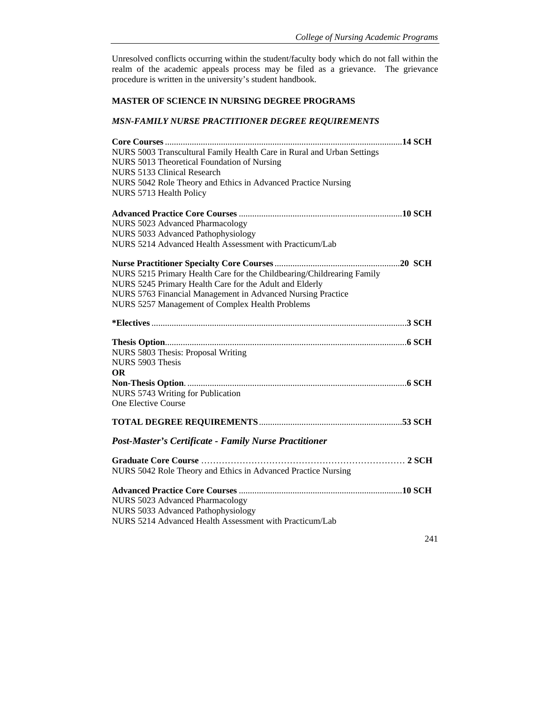Unresolved conflicts occurring within the student/faculty body which do not fall within the realm of the academic appeals process may be filed as a grievance. The grievance procedure is written in the university's student handbook.

## **MASTER OF SCIENCE IN NURSING DEGREE PROGRAMS**

## *MSN-FAMILY NURSE PRACTITIONER DEGREE REQUIREMENTS*

| NURS 5003 Transcultural Family Health Care in Rural and Urban Settings |     |
|------------------------------------------------------------------------|-----|
| NURS 5013 Theoretical Foundation of Nursing                            |     |
| NURS 5133 Clinical Research                                            |     |
| NURS 5042 Role Theory and Ethics in Advanced Practice Nursing          |     |
| NURS 5713 Health Policy                                                |     |
|                                                                        |     |
| NURS 5023 Advanced Pharmacology                                        |     |
| NURS 5033 Advanced Pathophysiology                                     |     |
| NURS 5214 Advanced Health Assessment with Practicum/Lab                |     |
|                                                                        |     |
| NURS 5215 Primary Health Care for the Childbearing/Childrearing Family |     |
| NURS 5245 Primary Health Care for the Adult and Elderly                |     |
| NURS 5763 Financial Management in Advanced Nursing Practice            |     |
| NURS 5257 Management of Complex Health Problems                        |     |
|                                                                        |     |
|                                                                        |     |
| NURS 5803 Thesis: Proposal Writing                                     |     |
| NURS 5903 Thesis                                                       |     |
| <b>OR</b>                                                              |     |
|                                                                        |     |
| NURS 5743 Writing for Publication                                      |     |
| One Elective Course                                                    |     |
|                                                                        |     |
| <b>Post-Master's Certificate - Family Nurse Practitioner</b>           |     |
|                                                                        |     |
| NURS 5042 Role Theory and Ethics in Advanced Practice Nursing          |     |
|                                                                        |     |
| NURS 5023 Advanced Pharmacology                                        |     |
| NURS 5033 Advanced Pathophysiology                                     |     |
| NURS 5214 Advanced Health Assessment with Practicum/Lab                |     |
|                                                                        | 241 |